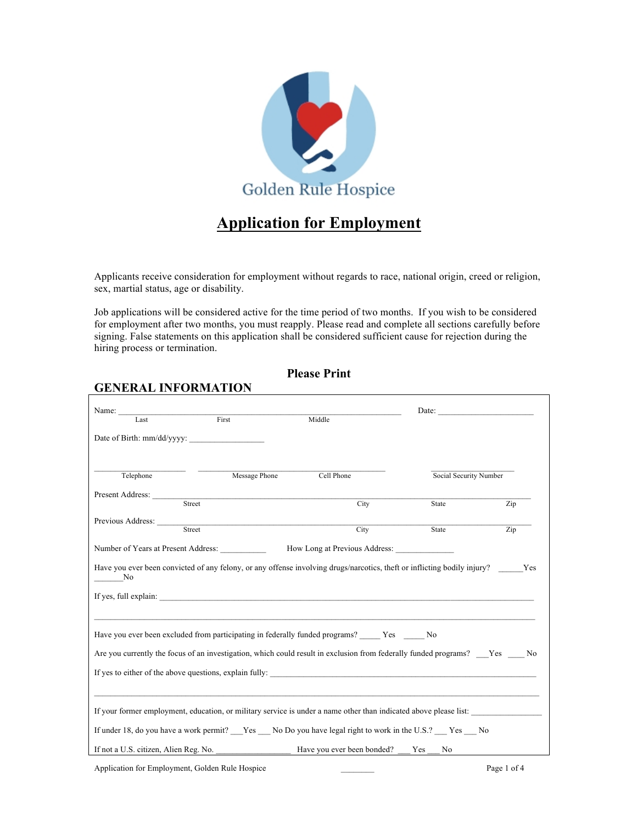

# **Application for Employment**

Applicants receive consideration for employment without regards to race, national origin, creed or religion, sex, martial status, age or disability.

Job applications will be considered active for the time period of two months. If you wish to be considered for employment after two months, you must reapply. Please read and complete all sections carefully before signing. False statements on this application shall be considered sufficient cause for rejection during the hiring process or termination.

### **Please Print**

#### **GENERAL INFORMATION**

| Name: $\frac{1}{\sqrt{1-\frac{1}{2}} \cdot \frac{1}{2}}$                                                                                                            |               |            | Date: $\qquad \qquad \qquad$ |     |
|---------------------------------------------------------------------------------------------------------------------------------------------------------------------|---------------|------------|------------------------------|-----|
| Last                                                                                                                                                                | First         | Middle     |                              |     |
| Date of Birth: mm/dd/yyyy:                                                                                                                                          |               |            |                              |     |
|                                                                                                                                                                     |               |            |                              |     |
| Telephone                                                                                                                                                           | Message Phone | Cell Phone | Social Security Number       |     |
| Present Address:                                                                                                                                                    |               |            |                              |     |
| Street                                                                                                                                                              |               | City       | State                        | Zip |
|                                                                                                                                                                     |               |            |                              |     |
| Street                                                                                                                                                              |               | City       | State                        | Zip |
| Number of Years at Present Address: How Long at Previous Address:                                                                                                   |               |            |                              |     |
| Have you ever been convicted of any felony, or any offense involving drugs/narcotics, theft or inflicting bodily injury?<br>$\mathbf{N}$ o<br>If yes, full explain: |               |            |                              |     |
| Have you ever been excluded from participating in federally funded programs? _____ Yes ______ No                                                                    |               |            |                              |     |
| Are you currently the focus of an investigation, which could result in exclusion from federally funded programs? ___Yes ____No                                      |               |            |                              |     |
| If yes to either of the above questions, explain fully:                                                                                                             |               |            |                              |     |
| If your former employment, education, or military service is under a name other than indicated above please list:                                                   |               |            |                              |     |
| If under 18, do you have a work permit? Yes No Do you have legal right to work in the U.S.? Yes No                                                                  |               |            |                              |     |
|                                                                                                                                                                     |               |            | No                           |     |

Application for Employment, Golden Rule Hospice Page 1 of 4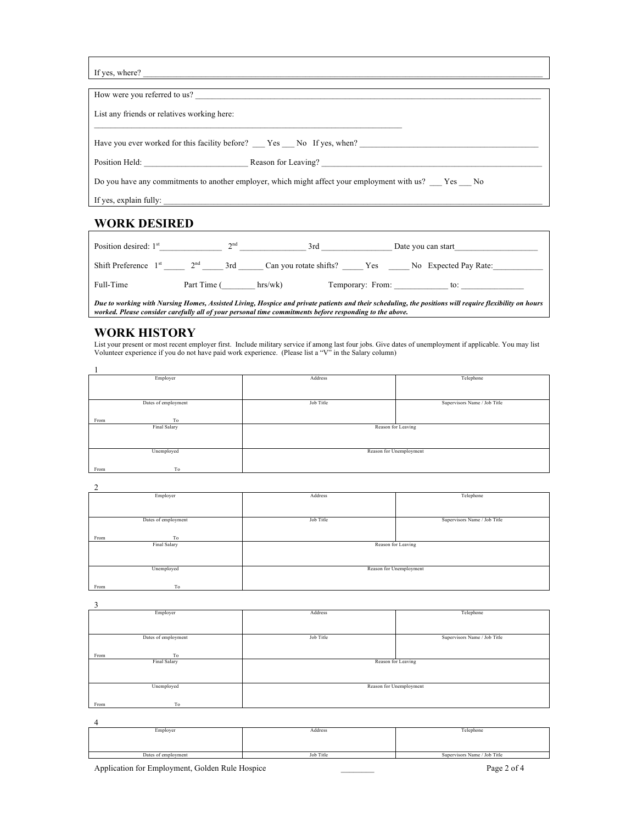| If yes, where? |
|----------------|

| If yes, where? $\frac{1}{\sqrt{1-\frac{1}{2}}\sqrt{1-\frac{1}{2}}\sqrt{1-\frac{1}{2}}\sqrt{1-\frac{1}{2}}\sqrt{1-\frac{1}{2}}\sqrt{1-\frac{1}{2}}\sqrt{1-\frac{1}{2}}\sqrt{1-\frac{1}{2}}\sqrt{1-\frac{1}{2}}\sqrt{1-\frac{1}{2}}\sqrt{1-\frac{1}{2}}\sqrt{1-\frac{1}{2}}\sqrt{1-\frac{1}{2}}\sqrt{1-\frac{1}{2}}\sqrt{1-\frac{1}{2}}\sqrt{1-\frac{1}{2}}\sqrt{1-\frac{1}{2}}\sqrt{1-\frac{1}{2}}\sqrt$ |
|---------------------------------------------------------------------------------------------------------------------------------------------------------------------------------------------------------------------------------------------------------------------------------------------------------------------------------------------------------------------------------------------------------|
|                                                                                                                                                                                                                                                                                                                                                                                                         |
| How were you referred to us?                                                                                                                                                                                                                                                                                                                                                                            |
| List any friends or relatives working here:                                                                                                                                                                                                                                                                                                                                                             |
| Have you ever worked for this facility before? Yes No If yes, when?                                                                                                                                                                                                                                                                                                                                     |
| Position Held: Reason for Leaving?                                                                                                                                                                                                                                                                                                                                                                      |
| Do you have any commitments to another employer, which might affect your employment with us? Yes No                                                                                                                                                                                                                                                                                                     |
|                                                                                                                                                                                                                                                                                                                                                                                                         |

## **WORK DESIRED**

| Position desired: $1st$ | $\lambda$ nd           | 3rd                    | Date you can start            |
|-------------------------|------------------------|------------------------|-------------------------------|
| Shift Preference $1st$  | 2 <sub>nd</sub><br>3rd | Can you rotate shifts? | No Expected Pay Rate:<br>Y es |
| Full-Time               | Part Time (            | hrs/wk)                | Temporary: From:<br>to:       |

*Due to working with Nursing Homes, Assisted Living, Hospice and private patients and their scheduling, the positions will require flexibility on hours worked. Please consider carefully all of your personal time commitments before responding to the above.*

#### **WORK HISTORY**

List your present or most recent employer first. Include military service if among last four jobs. Give dates of unemployment if applicable. You may list<br>Volunteer experience if you do not have paid work experience. (Pleas

| Employer            | Address                 | Telephone                    |  |  |
|---------------------|-------------------------|------------------------------|--|--|
|                     |                         |                              |  |  |
| Dates of employment | Job Title               | Supervisors Name / Job Title |  |  |
|                     |                         |                              |  |  |
| From<br>To          |                         |                              |  |  |
| Final Salary        | Reason for Leaving      |                              |  |  |
| Unemployed          | Reason for Unemployment |                              |  |  |
| To<br>From          |                         |                              |  |  |

2

| Employer            | Address                 | Telephone                    |
|---------------------|-------------------------|------------------------------|
|                     |                         |                              |
|                     |                         |                              |
| Dates of employment | Job Title               | Supervisors Name / Job Title |
|                     |                         |                              |
| From<br>To          |                         |                              |
| Final Salary        | Reason for Leaving      |                              |
|                     |                         |                              |
|                     |                         |                              |
| Unemployed          | Reason for Unemployment |                              |
|                     |                         |                              |
| From<br>To          |                         |                              |

3

| ┘                   |                         |                              |
|---------------------|-------------------------|------------------------------|
| Employer            | Address                 | Telephone                    |
|                     |                         |                              |
|                     |                         |                              |
|                     |                         |                              |
|                     |                         |                              |
| Dates of employment | Job Title               | Supervisors Name / Job Title |
|                     |                         |                              |
|                     |                         |                              |
| To<br>From          |                         |                              |
| Final Salary        | Reason for Leaving      |                              |
|                     |                         |                              |
|                     |                         |                              |
|                     |                         |                              |
|                     |                         |                              |
| Unemployed          | Reason for Unemployment |                              |
|                     |                         |                              |
|                     |                         |                              |
| To<br>From          |                         |                              |
|                     |                         |                              |

| Employer            | Address   | Telephone                    |
|---------------------|-----------|------------------------------|
|                     |           |                              |
|                     |           |                              |
| Dates of employment | Job Title | Supervisors Name / Job Title |
|                     |           |                              |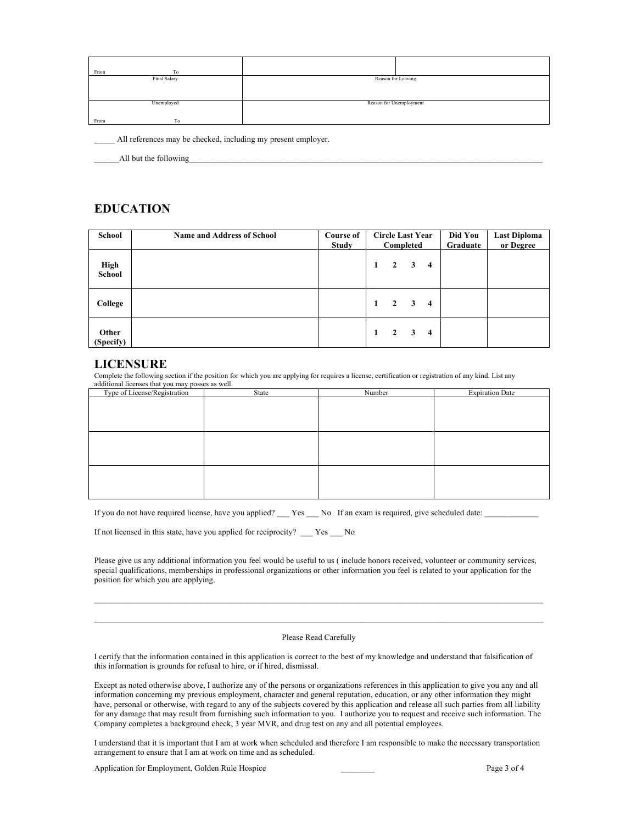| From<br>To   |                         |  |
|--------------|-------------------------|--|
| Final Salary | Reason for Leaving      |  |
|              |                         |  |
|              |                         |  |
| Unemployed   | Reason for Unemployment |  |
|              |                         |  |
| From<br>To   |                         |  |

All references may be checked, including my present employer.

\_\_\_\_\_\_All but the following\_\_\_\_\_\_\_\_\_\_\_\_\_\_\_\_\_\_\_\_\_\_\_\_\_\_\_\_\_\_\_\_\_\_\_\_\_\_\_\_\_\_\_\_\_\_\_\_\_\_\_\_\_\_\_\_\_\_\_\_\_\_\_\_\_\_\_\_\_\_\_\_\_\_\_\_\_\_\_\_\_\_\_\_\_

### **EDUCATION**

| School             | <b>Name and Address of School</b> | Course of<br>Study | <b>Circle Last Year</b><br>Completed |                         | Did You<br>Graduate     | <b>Last Diploma</b><br>or Degree |  |  |
|--------------------|-----------------------------------|--------------------|--------------------------------------|-------------------------|-------------------------|----------------------------------|--|--|
| High<br>School     |                                   |                    | $\mathbf{1}$                         | $\overline{2}$          | $\overline{\mathbf{3}}$ | $\overline{\mathbf{4}}$          |  |  |
| College            |                                   |                    | 1                                    | $\overline{2}$          | $\mathbf{3}$            | $\overline{\mathbf{4}}$          |  |  |
| Other<br>(Specify) |                                   |                    | $\mathbf{1}$                         | $\overline{\mathbf{2}}$ | $\overline{\mathbf{3}}$ | $\overline{\mathbf{4}}$          |  |  |

#### **LICENSURE**

Complete the following section if the position for which you are applying for requires a license, certification or registration of any kind. List any additional licenses that you may posses as well.

| Type of License/Registration | State | Number | <b>Expiration Date</b> |
|------------------------------|-------|--------|------------------------|
|                              |       |        |                        |
|                              |       |        |                        |
|                              |       |        |                        |
|                              |       |        |                        |
|                              |       |        |                        |
|                              |       |        |                        |
|                              |       |        |                        |
|                              |       |        |                        |
|                              |       |        |                        |
|                              |       |        |                        |
|                              |       |        |                        |

If you do not have required license, have you applied? \_\_\_ Yes \_\_\_ No If an exam is required, give scheduled date: \_\_\_\_

If not licensed in this state, have you applied for reciprocity? \_\_\_ Yes \_\_\_ No

Please give us any additional information you feel would be useful to us ( include honors received, volunteer or community services, special qualifications, memberships in professional organizations or other information you feel is related to your application for the position for which you are applying.

#### Please Read Carefully

I certify that the information contained in this application is correct to the best of my knowledge and understand that falsification of this information is grounds for refusal to hire, or if hired, dismissal.

Except as noted otherwise above, I authorize any of the persons or organizations references in this application to give you any and all information concerning my previous employment, character and general reputation, education, or any other information they might have, personal or otherwise, with regard to any of the subjects covered by this application and release all such parties from all liability for any damage that may result from furnishing such information to you. I authorize you to request and receive such information. The Company completes a background check, 3 year MVR, and drug test on any and all potential employees.

I understand that it is important that I am at work when scheduled and therefore I am responsible to make the necessary transportation arrangement to ensure that I am at work on time and as scheduled.

Application for Employment, Golden Rule Hospice Page 3 of 4